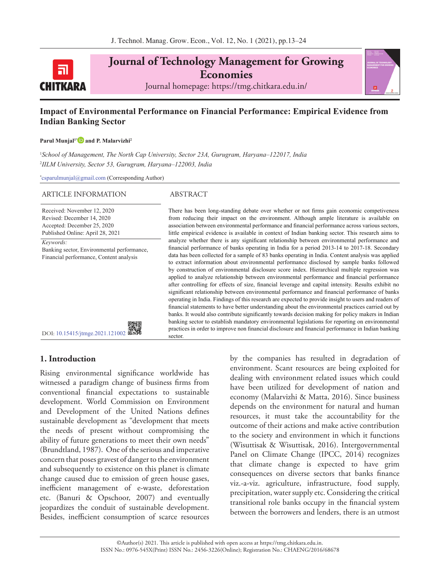

**Journal of Technology Management for Growing Economies** Journal homepage: https://tmg.chitkara.edu.in/

# **Impact of Environmental Performance on Financial Performance: Empirical Evidence from Indian Banking Sector**

#### **Parul Munjal1[\\*](https://orcid.org/0000-0002-8065-0139) and P. Malarvizhi2**

1 *School of Management, The North Cap University, Sector 23A, Gurugram, Haryana–122017, India* 2 *IILM University, Sector 53, Gurugram, Haryana–122003, India*

\* [csparulmunjal@gmail.com](mailto:csparulmunjal@gmail.com) (Corresponding Author)

#### ARTICLE INFORMATION ABSTRACT

Received: November 12, 2020 Revised: December 14, 2020

Accepted: December 25, 2020 Published Online: April 28, 2021 *Keywords:*

Banking sector, Environmental performance, Financial performance, Content analysis

There has been long-standing debate over whether or not firms gain economic competiveness from reducing their impact on the environment. Although ample literature is available on association between environmental performance and financial performance across various sectors, little empirical evidence is available in context of Indian banking sector. This research aims to analyze whether there is any significant relationship between environmental performance and financial performance of banks operating in India for a period 2013-14 to 2017-18. Secondary data has been collected for a sample of 83 banks operating in India. Content analysis was applied to extract information about environmental performance disclosed by sample banks followed by construction of environmental disclosure score index. Hierarchical multiple regression was applied to analyze relationship between environmental performance and financial performance after controlling for effects of size, financial leverage and capital intensity. Results exhibit no significant relationship between environmental performance and financial performance of banks operating in India. Findings of this research are expected to provide insight to users and readers of financial statements to have better understanding about the environmental practices carried out by banks. It would also contribute significantly towards decision making for policy makers in Indian banking sector to establish mandatory environmental legislations for reporting on environmental practices in order to improve non financial disclosure and financial performance in Indian banking sector.

# **1. Introduction**

Rising environmental significance worldwide has witnessed a paradigm change of business firms from conventional financial expectations to sustainable development. World Commission on Environment and Development of the United Nations defines sustainable development as "development that meets the needs of present without compromising the ability of future generations to meet their own needs" (Brundtland, 1987). One of the serious and imperative concern that poses gravest of danger to the environment and subsequently to existence on this planet is climate change caused due to emission of green house gases, inefficient management of e-waste, deforestation etc. (Banuri & Opschoor, 2007) and eventually jeopardizes the conduit of sustainable development. Besides, inefficient consumption of scarce resources by the companies has resulted in degradation of environment. Scant resources are being exploited for dealing with environment related issues which could have been utilized for development of nation and economy (Malarvizhi & Matta, 2016). Since business depends on the environment for natural and human resources, it must take the accountability for the outcome of their actions and make active contribution to the society and environment in which it functions (Wisuttisak & Wisuttisak, 2016). Intergovernmental Panel on Climate Change (IPCC, 2014) recognizes that climate change is expected to have grim consequences on diverse sectors that banks finance viz.-a-viz. agriculture, infrastructure, food supply, precipitation, water supply etc. Considering the critical transitional role banks occupy in the financial system between the borrowers and lenders, there is an utmost

DOI: [10.15415/jtmge.2021.121002](https://doi.org/10.15415/jtmge.2021.121002)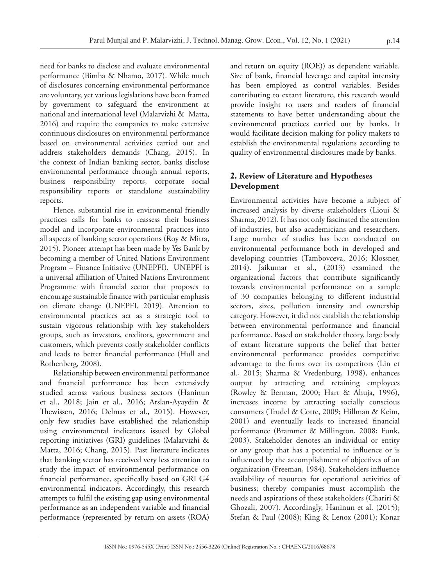need for banks to disclose and evaluate environmental performance (Bimha & Nhamo, 2017). While much of disclosures concerning environmental performance are voluntary, yet various legislations have been framed by government to safeguard the environment at national and international level (Malarvizhi & Matta, 2016) and require the companies to make extensive continuous disclosures on environmental performance based on environmental activities carried out and address stakeholders demands (Chang, 2015). In the context of Indian banking sector, banks disclose environmental performance through annual reports, business responsibility reports, corporate social responsibility reports or standalone sustainability reports.

Hence, substantial rise in environmental friendly practices calls for banks to reassess their business model and incorporate environmental practices into all aspects of banking sector operations (Roy & Mitra, 2015). Pioneer attempt has been made by Yes Bank by becoming a member of United Nations Environment Program – Finance Initiative (UNEPFI). UNEPFI is a universal affiliation of United Nations Environment Programme with financial sector that proposes to encourage sustainable finance with particular emphasis on climate change (UNEPFI, 2019). Attention to environmental practices act as a strategic tool to sustain vigorous relationship with key stakeholders groups, such as investors, creditors, government and customers, which prevents costly stakeholder conflicts and leads to better financial performance (Hull and Rothenberg, 2008).

Relationship between environmental performance and financial performance has been extensively studied across various business sectors (Haninun et al., 2018; Jain et al., 2016; Arslan-Ayaydin & Thewissen, 2016; Delmas et al., 2015). However, only few studies have established the relationship using environmental indicators issued by Global reporting initiatives (GRI) guidelines (Malarvizhi & Matta, 2016; Chang, 2015). Past literature indicates that banking sector has received very less attention to study the impact of environmental performance on financial performance, specifically based on GRI G4 environmental indicators. Accordingly, this research attempts to fulfil the existing gap using environmental performance as an independent variable and financial performance (represented by return on assets (ROA)

and return on equity (ROE)) as dependent variable. Size of bank, financial leverage and capital intensity has been employed as control variables. Besides contributing to extant literature, this research would provide insight to users and readers of financial statements to have better understanding about the environmental practices carried out by banks. It would facilitate decision making for policy makers to establish the environmental regulations according to quality of environmental disclosures made by banks.

# **2. Review of Literature and Hypotheses Development**

Environmental activities have become a subject of increased analysis by diverse stakeholders (Lioui & Sharma, 2012). It has not only fascinated the attention of industries, but also academicians and researchers. Large number of studies has been conducted on environmental performance both in developed and developing countries (Tambovceva, 2016; Klossner, 2014). Jaikumar et al., (2013) examined the organizational factors that contribute significantly towards environmental performance on a sample of 30 companies belonging to different industrial sectors, sizes, pollution intensity and ownership category. However, it did not establish the relationship between environmental performance and financial performance. Based on stakeholder theory, large body of extant literature supports the belief that better environmental performance provides competitive advantage to the firms over its competitors (Lin et al., 2015; Sharma & Vredenburg, 1998), enhances output by attracting and retaining employees (Rowley & Berman, 2000; Hart & Ahuja, 1996), increases income by attracting socially conscious consumers (Trudel & Cotte, 2009; Hillman & Keim, 2001) and eventually leads to increased financial performance (Brammer & Millington, 2008; Funk, 2003). Stakeholder denotes an individual or entity or any group that has a potential to influence or is influenced by the accomplishment of objectives of an organization (Freeman, 1984). Stakeholders influence availability of resources for operational activities of business; thereby companies must accomplish the needs and aspirations of these stakeholders (Chariri & Ghozali, 2007). Accordingly, Haninun et al. (2015); Stefan & Paul (2008); King & Lenox (2001); Konar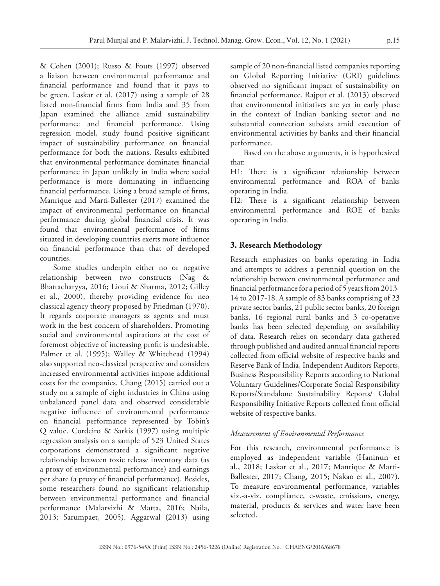& Cohen (2001); Russo & Fouts (1997) observed a liaison between environmental performance and financial performance and found that it pays to be green. Laskar et al. (2017) using a sample of 28 listed non-financial firms from India and 35 from Japan examined the alliance amid sustainability performance and financial performance. Using regression model, study found positive significant impact of sustainability performance on financial performance for both the nations. Results exhibited that environmental performance dominates financial performance in Japan unlikely in India where social performance is more dominating in influencing financial performance. Using a broad sample of firms, Manrique and Marti-Ballester (2017) examined the impact of environmental performance on financial performance during global financial crisis. It was found that environmental performance of firms situated in developing countries exerts more influence on financial performance than that of developed countries.

Some studies underpin either no or negative relationship between two constructs (Nag & Bhattacharyya, 2016; Lioui & Sharma, 2012; Gilley et al., 2000), thereby providing evidence for neo classical agency theory proposed by Friedman (1970). It regards corporate managers as agents and must work in the best concern of shareholders. Promoting social and environmental aspirations at the cost of foremost objective of increasing profit is undesirable. Palmer et al. (1995); Walley & Whitehead (1994) also supported neo-classical perspective and considers increased environmental activities impose additional costs for the companies. Chang (2015) carried out a study on a sample of eight industries in China using unbalanced panel data and observed considerable negative influence of environmental performance on financial performance represented by Tobin's Q value. Cordeiro & Sarkis (1997) using multiple regression analysis on a sample of 523 United States corporations demonstrated a significant negative relationship between toxic release inventory data (as a proxy of environmental performance) and earnings per share (a proxy of financial performance). Besides, some researchers found no significant relationship between environmental performance and financial performance (Malarvizhi & Matta, 2016; Naila, 2013; Sarumpaet, 2005). Aggarwal (2013) using

sample of 20 non-financial listed companies reporting on Global Reporting Initiative (GRI) guidelines observed no significant impact of sustainability on financial performance. Rajput et al. (2013) observed that environmental initiatives are yet in early phase in the context of Indian banking sector and no substantial connection subsists amid execution of environmental activities by banks and their financial performance.

Based on the above arguments, it is hypothesized that:

H1: There is a significant relationship between environmental performance and ROA of banks operating in India.

H2: There is a significant relationship between environmental performance and ROE of banks operating in India.

# **3. Research Methodology**

Research emphasizes on banks operating in India and attempts to address a perennial question on the relationship between environmental performance and financial performance for a period of 5 years from 2013- 14 to 2017-18. A sample of 83 banks comprising of 23 private sector banks, 21 public sector banks, 20 foreign banks, 16 regional rural banks and 3 co-operative banks has been selected depending on availability of data. Research relies on secondary data gathered through published and audited annual financial reports collected from official website of respective banks and Reserve Bank of India, Independent Auditors Reports, Business Responsibility Reports according to National Voluntary Guidelines/Corporate Social Responsibility Reports/Standalone Sustainability Reports/ Global Responsibility Initiative Reports collected from official website of respective banks.

# *Measurement of Environmental Performance*

For this research, environmental performance is employed as independent variable (Haninun et al., 2018; Laskar et al., 2017; Manrique & Marti-Ballester, 2017; Chang, 2015; Nakao et al., 2007). To measure environmental performance, variables viz.-a-viz. compliance, e-waste, emissions, energy, material, products & services and water have been selected.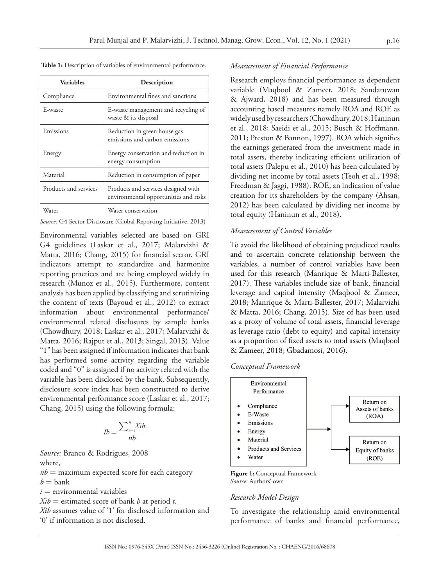| <b>Variables</b>      | Description                                                                  |
|-----------------------|------------------------------------------------------------------------------|
| Compliance            | Environmental fines and sanctions                                            |
| E-waste               | E-waste management and recycling of<br>waste & its disposal                  |
| Emissions             | Reduction in green house gas<br>emissions and carbon emissions               |
| Energy                | Energy conservation and reduction in<br>energy consumption                   |
| Material              | Reduction in consumption of paper                                            |
| Products and services | Products and services designed with<br>environmental opportunities and risks |
| Water                 | Water conservation                                                           |

 **Table 1:** Description of variables of environmental performance.

*Source:* G4 Sector Disclosure (Global Reporting Initiative, 2013)

Environmental variables selected are based on GRI G4 guidelines (Laskar et al., 2017; Malarvizhi & Matta, 2016; Chang, 2015) for financial sector. GRI indicators attempt to standardize and harmonize reporting practices and are being employed widely in research (Munoz et al., 2015). Furthermore, content analysis has been applied by classifying and scrutinizing the content of texts (Bayoud et al., 2012) to extract information about environmental performance/ environmental related disclosures by sample banks (Chowdhury, 2018; Laskar et al., 2017; Malarvizhi & Matta, 2016; Rajput et al., 2013; Singal, 2013). Value "1" has been assigned if information indicates that bank has performed some activity regarding the variable coded and "0" is assigned if no activity related with the variable has been disclosed by the bank. Subsequently, disclosure score index has been constructed to derive environmental performance score (Laskar et al., 2017; Chang, 2015) using the following formula:

$$
Ib = \frac{\sum_{i=1}^{n} Xib}{nb}
$$

*Source:* Branco & Rodrigues, 2008 where,

 $nb =$  maximum expected score for each category

 $b =$ bank

 $i$  = environmental variables  $Xib =$  estimated score of bank *b* at period *t*.

*Xib* assumes value of '1' for disclosed information and '0' if information is not disclosed.

#### *Measurement of Financial Performance*

Research employs financial performance as dependent variable (Maqbool & Zameer, 2018; Sandaruwan & Ajward, 2018) and has been measured through accounting based measures namely ROA and ROE as widely used by researchers (Chowdhury, 2018; Haninun et al., 2018; Saeidi et al., 2015; Busch & Hoffmann, 2011; Preston & Bannon, 1997). ROA which signifies the earnings generated from the investment made in total assets, thereby indicating efficient utilization of total assets (Palepu et al., 2010) has been calculated by dividing net income by total assets (Teoh et al., 1998; Freedman & Jaggi, 1988). ROE, an indication of value creation for its shareholders by the company (Ahsan, 2012) has been calculated by dividing net income by total equity (Haninun et al., 2018).

### *Measurement of Control Variables*

To avoid the likelihood of obtaining prejudiced results and to ascertain concrete relationship between the variables, a number of control variables have been used for this research (Manrique & Marti-Ballester, 2017). These variables include size of bank, financial leverage and capital intensity (Maqbool & Zameer, 2018; Manrique & Marti-Ballester, 2017; Malarvizhi & Matta, 2016; Chang, 2015). Size of has been used as a proxy of volume of total assets, financial leverage as leverage ratio (debt to equity) and capital intensity as a proportion of fixed assets to total assets (Maqbool & Zameer, 2018; Gbadamosi, 2016).





**Figure 1:** Conceptual Framework *Source:* Authors' own

### *Research Model Design*

To investigate the relationship amid environmental performance of banks and financial performance,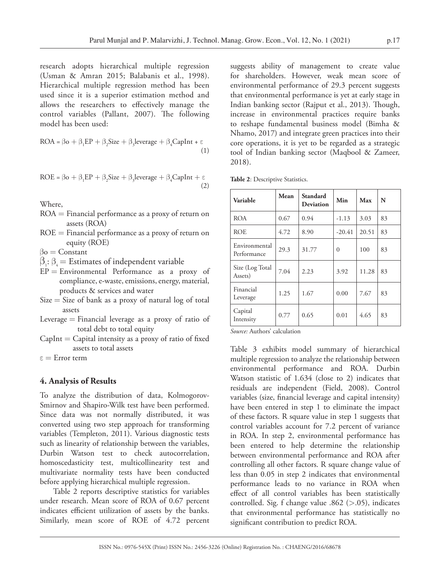research adopts hierarchical multiple regression (Usman & Amran 2015; Balabanis et al., 1998). Hierarchical multiple regression method has been used since it is a superior estimation method and allows the researchers to effectively manage the control variables (Pallant, 2007). The following model has been used:

$$
ROA = \beta o + \beta_1 EP + \beta_2 Size + \beta_3 leverage + \beta_4 CapInt + \epsilon
$$
\n(1)

$$
ROE = \beta o + \beta_1 EP + \beta_2 Size + \beta_3 leverage + \beta_4 CapInt + \epsilon
$$
\n(2)

Where,

- ROA = Financial performance as a proxy of return on assets (ROA)
- ROE = Financial performance as a proxy of return on equity (ROE)

 $\beta$ o = Constant

- $\beta_i$ :  $\beta_i$  = Estimates of independent variable
- $EP = Environmental$  Performance as a proxy of compliance, e-waste, emissions, energy, material, products & services and water
- $Size = Size$  of bank as a proxy of natural log of total assets
- Leverage  $=$  Financial leverage as a proxy of ratio of total debt to total equity
- $CapInt = Capital$  intensity as a proxy of ratio of fixed assets to total assets

ε = Error term

# **4. Analysis of Results**

To analyze the distribution of data, Kolmogorov-Smirnov and Shapiro-Wilk test have been performed. Since data was not normally distributed, it was converted using two step approach for transforming variables (Templeton, 2011). Various diagnostic tests such as linearity of relationship between the variables, Durbin Watson test to check autocorrelation, homoscedasticity test, multicollinearity test and multivariate normality tests have been conducted before applying hierarchical multiple regression.

Table 2 reports descriptive statistics for variables under research. Mean score of ROA of 0.67 percent indicates efficient utilization of assets by the banks. Similarly, mean score of ROE of 4.72 percent

suggests ability of management to create value for shareholders. However, weak mean score of environmental performance of 29.3 percent suggests that environmental performance is yet at early stage in Indian banking sector (Rajput et al., 2013). Though, increase in environmental practices require banks to reshape fundamental business model (Bimha & Nhamo, 2017) and integrate green practices into their core operations, it is yet to be regarded as a strategic tool of Indian banking sector (Maqbool & Zameer, 2018).

| Variable                     | Mean | Standard<br>Deviation | Min      | Max   | N  |
|------------------------------|------|-----------------------|----------|-------|----|
| <b>ROA</b>                   | 0.67 | 0.94                  | $-1.13$  | 3.03  | 83 |
| ROE                          | 4.72 | 8.90                  | $-20.41$ | 20.51 | 83 |
| Environmental<br>Performance | 29.3 | 31.77                 | $\Omega$ | 100   | 83 |
| Size (Log Total<br>Assets)   | 7.04 | 2.23                  | 3.92     | 11.28 | 83 |
| Financial<br>Leverage        | 1.25 | 1.67                  | 0.00     | 7.67  | 83 |
| Capital<br>Intensity         | 0.77 | 0.65                  | 0.01     | 4.65  | 83 |

*Source:* Authors' calculation

Table 3 exhibits model summary of hierarchical multiple regression to analyze the relationship between environmental performance and ROA. Durbin Watson statistic of 1.634 (close to 2) indicates that residuals are independent (Field, 2008). Control variables (size, financial leverage and capital intensity) have been entered in step 1 to eliminate the impact of these factors. R square value in step 1 suggests that control variables account for 7.2 percent of variance in ROA. In step 2, environmental performance has been entered to help determine the relationship between environmental performance and ROA after controlling all other factors. R square change value of less than 0.05 in step 2 indicates that environmental performance leads to no variance in ROA when effect of all control variables has been statistically controlled. Sig. f change value .862 (>.05), indicates that environmental performance has statistically no significant contribution to predict ROA.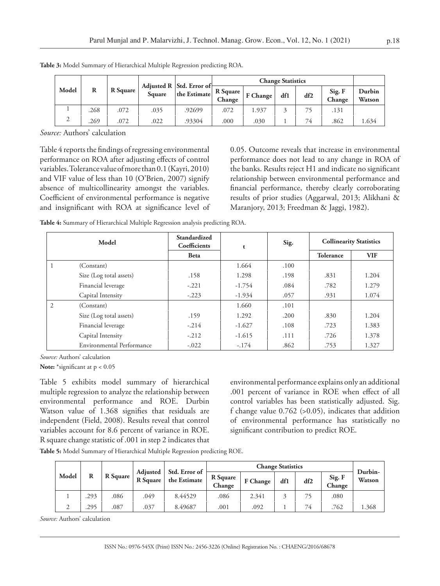|       |      |                 |        | Adjusted R Std. Error of | <b>Change Statistics</b> |          |     |     |                  |                  |
|-------|------|-----------------|--------|--------------------------|--------------------------|----------|-----|-----|------------------|------------------|
| Model | R    | <b>R</b> Square | Square | the Estimate             | R Square<br>Change       | F Change | df1 | df2 | Sig. F<br>Change | Durbin<br>Watson |
|       | .268 | .072            | .035   | .92699                   | .072                     | 1.937    |     | 75  | .131             |                  |
|       | .269 | .072            | .022   | .93304                   | .000.                    | .030     |     | 74  | .862             | 1.634            |

**Table 3:** Model Summary of Hierarchical Multiple Regression predicting ROA.

*Source:* Authors' calculation

Table 4 reports the findings of regressing environmental performance on ROA after adjusting effects of control variables. Tolerance value of more than 0.1 (Kayri, 2010) and VIF value of less than 10 (O'Brien, 2007) signify absence of multicollinearity amongst the variables. Coefficient of environmental performance is negative and insignificant with ROA at significance level of 0.05. Outcome reveals that increase in environmental performance does not lead to any change in ROA of the banks. Results reject H1 and indicate no significant relationship between environmental performance and financial performance, thereby clearly corroborating results of prior studies (Aggarwal, 2013; Alikhani & Maranjory, 2013; Freedman & Jaggi, 1982).

| Table 4: Summary of Hierarchical Multiple Regression analysis predicting ROA. |  |  |  |
|-------------------------------------------------------------------------------|--|--|--|
|                                                                               |  |  |  |

| Model |                           | Standardized<br>Coefficients | t        | Sig. | <b>Collinearity Statistics</b> |            |
|-------|---------------------------|------------------------------|----------|------|--------------------------------|------------|
|       |                           | <b>Beta</b>                  |          |      | <b>Tolerance</b>               | <b>VIF</b> |
| 1     | (Constant)                |                              | 1.664    | .100 |                                |            |
|       | Size (Log total assets)   | .158                         | 1.298    | .198 | .831                           | 1.204      |
|       | Financial leverage        | $-.221$                      | $-1.754$ | .084 | .782                           | 1.279      |
|       | Capital Intensity         | $-.223$                      | $-1.934$ | .057 | .931                           | 1.074      |
| 2     | (Constant)                |                              | 1.660    | .101 |                                |            |
|       | Size (Log total assets)   | .159                         | 1.292    | .200 | .830                           | 1.204      |
|       | Financial leverage        | $-.214$                      | $-1.627$ | .108 | .723                           | 1.383      |
|       | Capital Intensity         | $-.212$                      | $-1.615$ | .111 | .726                           | 1.378      |
|       | Environmental Performance | $-.022$                      | $-.174$  | .862 | .753                           | 1.327      |

*Source:* Authors' calculation

**Note:** \*significant at p < 0.05

Table 5 exhibits model summary of hierarchical multiple regression to analyze the relationship between environmental performance and ROE. Durbin Watson value of 1.368 signifies that residuals are independent (Field, 2008). Results reveal that control variables account for 8.6 percent of variance in ROE. R square change statistic of .001 in step 2 indicates that environmental performance explains only an additional .001 percent of variance in ROE when effect of all control variables has been statistically adjusted. Sig. f change value  $0.762$  (>0.05), indicates that addition of environmental performance has statistically no significant contribution to predict ROE.

**Table 5:** Model Summary of Hierarchical Multiple Regression predicting ROE.

|       |      |          |                                    |                               |                    |          | <b>Change Statistics</b> |     |                  | Durbin- |
|-------|------|----------|------------------------------------|-------------------------------|--------------------|----------|--------------------------|-----|------------------|---------|
| Model | R    | R Square | <b>Adjusted</b><br><b>R</b> Square | Std. Error of<br>the Estimate | R Square<br>Change | F Change | df1                      | df2 | Sig. F<br>Change | Watson  |
|       | .293 | .086     | .049                               | 8.44529                       | .086               | 2.341    |                          |     | .080             |         |
|       | .295 | .087     | .037                               | 8.49687                       | .001               | .092     |                          | 74  | .762             | 1.368   |

*Source:* Authors' calculation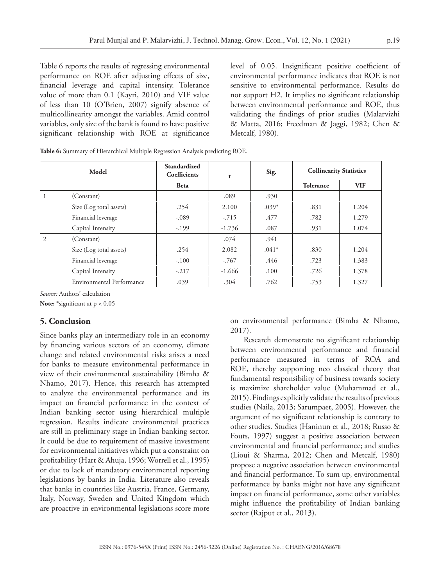Table 6 reports the results of regressing environmental performance on ROE after adjusting effects of size, financial leverage and capital intensity. Tolerance value of more than 0.1 (Kayri, 2010) and VIF value of less than 10 (O'Brien, 2007) signify absence of multicollinearity amongst the variables. Amid control variables, only size of the bank is found to have positive significant relationship with ROE at significance

level of 0.05. Insignificant positive coefficient of environmental performance indicates that ROE is not sensitive to environmental performance. Results do not support H2. It implies no significant relationship between environmental performance and ROE, thus validating the findings of prior studies (Malarvizhi & Matta, 2016; Freedman & Jaggi, 1982; Chen & Metcalf, 1980).

|  | <b>Table 6:</b> Summary of Hierarchical Multiple Regression Analysis predicting ROE. |  |
|--|--------------------------------------------------------------------------------------|--|
|  |                                                                                      |  |

| Model          |                                  | Standardized<br>Coefficients | t        | Sig.    | <b>Collinearity Statistics</b> |            |
|----------------|----------------------------------|------------------------------|----------|---------|--------------------------------|------------|
|                |                                  | <b>Beta</b>                  |          |         | Tolerance                      | <b>VIF</b> |
|                | (Constant)                       |                              | .089     | .930    |                                |            |
|                | Size (Log total assets)          | .254                         | 2.100    | $.039*$ | .831                           | 1.204      |
|                | Financial leverage               | $-.089$                      | $-.715$  | .477    | .782                           | 1.279      |
|                | Capital Intensity                | $-.199$                      | $-1.736$ | .087    | .931                           | 1.074      |
| $\overline{2}$ | (Constant)                       |                              | .074     | .941    |                                |            |
|                | Size (Log total assets)          | .254                         | 2.082    | $.041*$ | .830                           | 1.204      |
|                | Financial leverage               | $-.100$                      | $-.767$  | .446    | .723                           | 1.383      |
|                | Capital Intensity                | $-.217$                      | $-1.666$ | .100    | .726                           | 1.378      |
|                | <b>Environmental Performance</b> | .039                         | .304     | .762    | .753                           | 1.327      |

*Source:* Authors' calculation

**Note:** \*significant at p < 0.05

# **5. Conclusion**

Since banks play an intermediary role in an economy by financing various sectors of an economy, climate change and related environmental risks arises a need for banks to measure environmental performance in view of their environmental sustainability (Bimha & Nhamo, 2017). Hence, this research has attempted to analyze the environmental performance and its impact on financial performance in the context of Indian banking sector using hierarchical multiple regression. Results indicate environmental practices are still in preliminary stage in Indian banking sector. It could be due to requirement of massive investment for environmental initiatives which put a constraint on profitability (Hart & Ahuja, 1996; Worrell et al., 1995) or due to lack of mandatory environmental reporting legislations by banks in India. Literature also reveals that banks in countries like Austria, France, Germany, Italy, Norway, Sweden and United Kingdom which are proactive in environmental legislations score more

on environmental performance (Bimha & Nhamo, 2017).

Research demonstrate no significant relationship between environmental performance and financial performance measured in terms of ROA and ROE, thereby supporting neo classical theory that fundamental responsibility of business towards society is maximize shareholder value (Muhammad et al., 2015). Findings explicitly validate the results of previous studies (Naila, 2013; Sarumpaet, 2005). However, the argument of no significant relationship is contrary to other studies. Studies (Haninun et al., 2018; Russo & Fouts, 1997) suggest a positive association between environmental and financial performance; and studies (Lioui & Sharma, 2012; Chen and Metcalf, 1980) propose a negative association between environmental and financial performance. To sum up, environmental performance by banks might not have any significant impact on financial performance, some other variables might influence the profitability of Indian banking sector (Rajput et al., 2013).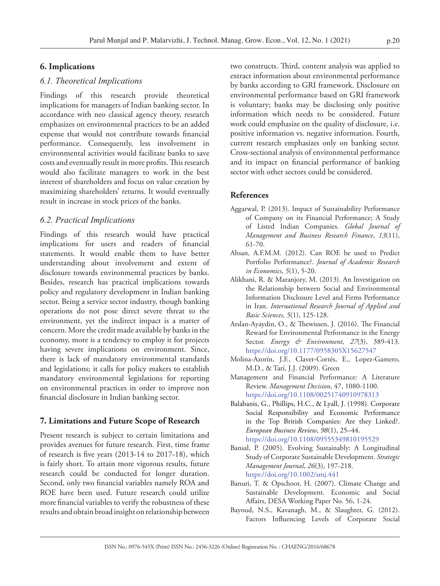# **6. Implications**

# *6.1. Theoretical Implications*

Findings of this research provide theoretical implications for managers of Indian banking sector. In accordance with neo classical agency theory, research emphasizes on environmental practices to be an added expense that would not contribute towards financial performance. Consequently, less involvement in environmental activities would facilitate banks to save costs and eventually result in more profits. This research would also facilitate managers to work in the best interest of shareholders and focus on value creation by maximizing shareholders' returns. It would eventually result in increase in stock prices of the banks.

# *6.2. Practical Implications*

Findings of this research would have practical implications for users and readers of financial statements. It would enable them to have better understanding about involvement and extent of disclosure towards environmental practices by banks. Besides, research has practical implications towards policy and regulatory development in Indian banking sector. Being a service sector industry, though banking operations do not pose direct severe threat to the environment, yet the indirect impact is a matter of concern. More the credit made available by banks in the economy, more is a tendency to employ it for projects having severe implications on environment. Since, there is lack of mandatory environmental standards and legislations; it calls for policy makers to establish mandatory environmental legislations for reporting on environmental practices in order to improve non financial disclosure in Indian banking sector.

### **7. Limitations and Future Scope of Research**

Present research is subject to certain limitations and provides avenues for future research. First, time frame of research is five years (2013-14 to 2017-18), which is fairly short. To attain more vigorous results, future research could be conducted for longer duration. Second, only two financial variables namely ROA and ROE have been used. Future research could utilize more financial variables to verify the robustness of these results and obtain broad insight on relationship between

two constructs. Third, content analysis was applied to extract information about environmental performance by banks according to GRI framework. Disclosure on environmental performance based on GRI framework is voluntary; banks may be disclosing only positive information which needs to be considered. Future work could emphasize on the quality of disclosure, i.e. positive information vs. negative information. Fourth, current research emphasizes only on banking sector. Cross-sectional analysis of environmental performance and its impact on financial performance of banking sector with other sectors could be considered.

### **References**

- Aggarwal, P. (2013). Impact of Sustainability Performance of Company on its Financial Performance; A Study of Listed Indian Companies. *Global Journal of Management and Business Research Finance*, *13*(11), 61-70.
- Ahsan, A.F.M.M. (2012). Can ROE be used to Predict Portfolio Performance?. *Journal of Academic Research in Economics*, *5*(1), 5-20.
- Alikhani, R. & Maranjory, M. (2013). An Investigation on the Relationship between Social and Environmental Information Disclosure Level and Firms Performance in Iran. *International Research Journal of Applied and Basic Sciences*, *5*(1), 125-128.
- Arslan-Ayaydin, O., & Thewissen, J. (2016). The Financial Reward for Environmental Performance in the Energy Sector. *Energy & Environment*, *27*(3), 389-413. <https://doi.org/10.1177/0958305X15627547>
- Molina-Azorín, J.F., Claver-Cortés, E., Lopez-Gamero, M.D., & Tarí, J.J. (2009). Green
- Management and Financial Performance: A Literature Review. *Management Decision*, 47, 1080-1100. <https://doi.org/10.1108/00251740910978313>
- Balabanis, G., Phillips, H.C., & Lyall, J. (1998). Corporate Social Responsibility and Economic Performance in the Top British Companies: Are they Linked?. *European Business Review*, *98*(1), 25–44. <https://doi.org/10.1108/09555349810195529>
- Bansal, P. (2005). Evolving Sustainably: A Longitudinal Study of Corporate Sustainable Development. *Strategic Management Journal*, *26*(3), 197-218. <https://doi.org/10.1002/smj.441>
- [Banuri](https://www.un.org/esa/desa/papers/2007/wp56_2007.pdf), T. & Opschoor, H. (2007). Climate Change and Sustainable Development. Economic and Social Affairs, DESA Working Paper No. 56, 1-24.
- Bayoud, N.S., Kavanagh, M., & Slaughter, G. (2012). Factors Influencing Levels of Corporate Social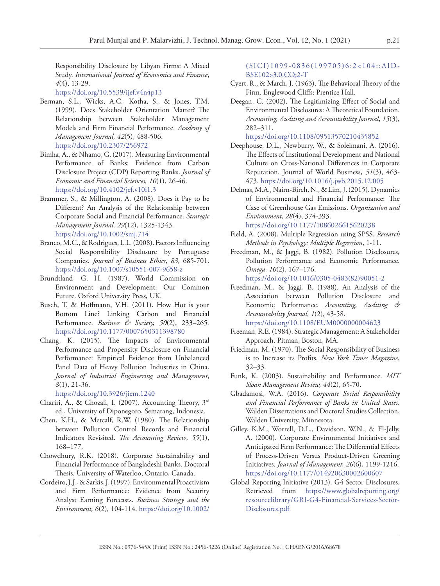Responsibility Disclosure by Libyan Firms: A Mixed Study. *International Journal of Economics and Finance*, *4*(4), 13-29.

<https://doi.org/10.5539/ijef.v4n4p13>

- Berman, S.L., Wicks, A.C., Kotha, S., & Jones, T.M. (1999). Does Stakeholder Orientation Matter? The Relationship between Stakeholder Management Models and Firm Financial Performance. *Academy of Management Journal, 42*(5), 488-506. <https://doi.org/10.2307/256972>
- Bimha, A., & Nhamo, G. (2017). Measuring Environmental Performance of Banks: Evidence from Carbon Disclosure Project (CDP) Reporting Banks. *Journal of Economic and Financial Sciences, 10*(1), 26-46. <https://doi.org/10.4102/jef.v10i1.3>
- Brammer, S., & Millington, A. (2008). Does it Pay to be Different? An Analysis of the Relationship between Corporate Social and Financial Performance. *Strategic Management Journal, 29*(12), 1325-1343. <https://doi.org/10.1002/smj.714>
- Branco, M.C., & Rodrigues, L.L. (2008). Factors Influencing Social Responsibility Disclosure by Portuguese Companies. *Journal of Business Ethics*, *83*, 685-701. <https://doi.org/10.1007/s10551-007-9658-z>
- Brundtland, G. H. (1987). World Commission on Environment and Development: Our Common Future. Oxford University Press, UK.
- Busch, T. & Hoffmann, V.H. (2011). How Hot is your Bottom Line? Linking Carbon and Financial Performance. *Business & Society, 50*(2), 233–265*.*  <https://doi.org/10.1177/0007650311398780>
- Chang, K. (2015). The Impacts of Environmental Performance and Propensity Disclosure on Financial Performance: Empirical Evidence from Unbalanced Panel Data of Heavy Pollution Industries in China. *Journal of Industrial Engineering and Management*, *8*(1), 21-36.

<https://doi.org/10.3926/jiem.1240>

- Chariri, A., & Ghozali, I. (2007). Accounting Theory, 3rd ed., University of Diponegoro, Semarang, Indonesia.
- Chen, K.H., & Metcalf, R.W. (1980). The Relationship between Pollution Control Records and Financial Indicators Revisited. *The Accounting Review*, *55*(1), 168–177.
- Chowdhury, R.K. (2018). Corporate Sustainability and Financial Performance of Bangladeshi Banks. Doctoral Thesis. University of Waterloo, Ontario, Canada.
- Cordeiro, J.J., & Sarkis, J. (1997). Environmental Proactivism and Firm Performance: Evidence from Security Analyst Earning Forecasts. *Business Strategy and the Environment, 6*(2), 104-114. [https://doi.org/10.1002/](https://doi.org/10.1002/(SICI)1099-0836(199705)6:2%3C104::AID-BSE102%3E3.0.CO;2-T)

#### [\(SICI\)1099-0836\(199705\)6:2<104::AID-](https://doi.org/10.1002/(SICI)1099-0836(199705)6:2%3C104::AID-BSE102%3E3.0.CO;2-T)[BSE102>3.0.CO;2-T](https://doi.org/10.1002/(SICI)1099-0836(199705)6:2%3C104::AID-BSE102%3E3.0.CO;2-T)

- Cyert, R., & March, J. (1963). The Behavioral Theory of the Firm. Englewood Cliffs: Prentice Hall.
- Deegan, C. (2002). The Legitimizing Effect of Social and Environmental Disclosures: A Theoretical Foundation. *Accounting, Auditing and Accountability Journal*, *15*(3), 282–311.

<https://doi.org/10.1108/09513570210435852>

- Deephouse, D.L., Newburry, W., & Soleimani, A. (2016). The Effects of Institutional Development and National Culture on Cross-National Differences in Corporate Reputation. Journal of World Business, *51*(3), 463- 473. <https://doi.org/10.1016/j.jwb.2015.12.005>
- Delmas, M.A., Nairn-Birch, N., & Lim, J. (2015). Dynamics of Environmental and Financial Performance: The Case of Greenhouse Gas Emissions. *Organization and Environment*, *28*(4), 374-393. <https://doi.org/10.1177/1086026615620238>
- Field, A. (2008). Multiple Regression using SPSS. *Research Methods in Psychology: Multiple Regression*, 1-11.
- Freedman, M., & Jaggi, B. (1982). Pollution Disclosures, Pollution Performance and Economic Performance. *Omega, 10*(2), 167–176.

[https://doi.org/10.1016/0305-0483\(82\)90051-2](https://doi.org/10.1016/0305-0483(82)90051-2)

Freedman, M., & Jaggi, B. (1988). An Analysis of the Association between Pollution Disclosure and Economic Performance. *Accounting, Auditing & Accountability Journal*, *1*(2), 43-58.

<https://doi.org/10.1108/EUM0000000004623> Freeman, R.E. (1984). Strategic Management: A Stakeholder

- Approach. Pitman, Boston, MA.
- Friedman, M. (1970). The Social Responsibility of Business is to Increase its Profits. *New York Times Magazine*, 32–33.
- Funk, K. (2003). Sustainability and Performance. *MIT Sloan Management Review, 44*(2), 65-70.
- Gbadamosi, W.A. (2016). *Corporate Social Responsibility and Financial Performance of Banks in United States*. Walden Dissertations and Doctoral Studies Collection, Walden University, Minnesota.
- Gilley, K.M., Worrell, D.L., Davidson, W.N., & El-Jelly, A. (2000). Corporate Environmental Initiatives and Anticipated Firm Performance: The Differential Effects of Process-Driven Versus Product-Driven Greening Initiatives. *Journal of Management, 26*(6), 1199-1216. <https://doi.org/10.1177/014920630002600607>
- Global Reporting Initiative (2013). G4 Sector Disclosures. Retrieved from [https://www.globalreporting.org/](https://www.globalreporting.org/resourcelibrary/GRI-G4-Financial-Services-Sector-Disclosures.pdf) [resourcelibrary/GRI-G4-Financial-Services-Sector-](https://www.globalreporting.org/resourcelibrary/GRI-G4-Financial-Services-Sector-Disclosures.pdf)[Disclosures.pdf](https://www.globalreporting.org/resourcelibrary/GRI-G4-Financial-Services-Sector-Disclosures.pdf)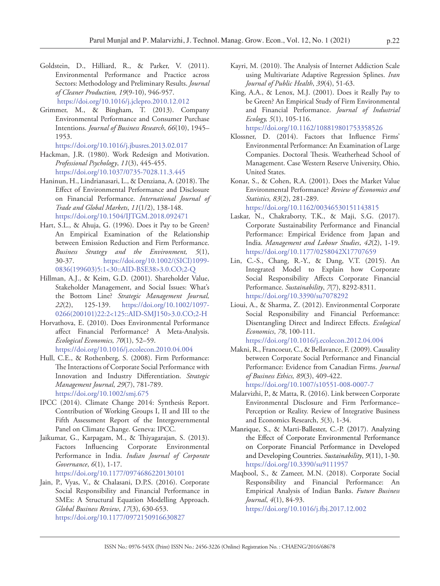- Goldstein, D., Hilliard, R., & Parker, V. (2011). Environmental Performance and Practice across Sectors: Methodology and Preliminary Results. *Journal of Cleaner Production, 19*(9-10), 946-957. <https://doi.org/10.1016/j.jclepro.2010.12.012>
- Grimmer, M., & Bingham, T. (2013). Company Environmental Performance and Consumer Purchase Intentions. *Journal of Business Research*, *66*(10), 1945– 1953.
- <https://doi.org/10.1016/j.jbusres.2013.02.017> Hackman, J.R. (1980). Work Redesign and Motivation. *Professional Psychology*, *11*(3), 445-455. <https://doi.org/10.1037/0735-7028.11.3.445>
- Haninun, H., Lindrianasari, L., & Denziana, A. (2018). The Effect of Environmental Performance and Disclosure on Financial Performance. *International Journal of Trade and Global Markets*, *11*(1/2), 138-148. <https://doi.org/10.1504/IJTGM.2018.092471>
- Hart, S.L., & Ahuja, G. (1996). Does it Pay to be Green? An Empirical Examination of the Relationship between Emission Reduction and Firm Performance. *Business Strategy and the Environment, 5*(1), 30-37. [https://doi.org/10.1002/\(SICI\)1099-](https://doi.org/10.1002/(SICI)1099-0836(199603)5:1%3C30::AID-BSE38%3E3.0.CO;2-Q) [0836\(199603\)5:1<30::AID-BSE38>3.0.CO;2-Q](https://doi.org/10.1002/(SICI)1099-0836(199603)5:1%3C30::AID-BSE38%3E3.0.CO;2-Q)
- Hillman, A.J., & Keim, G.D. (2001). Shareholder Value, Stakeholder Management, and Social Issues: What's the Bottom Line? *Strategic Management Journal, 22*(2), 125-139. [https://doi.org/10.1002/1097-](https://doi.org/10.1002/1097-0266(200101)22:2%3C125::AID-SMJ150%3E3.0.CO;2-H) [0266\(200101\)22:2<125::AID-SMJ150>3.0.CO;2-H](https://doi.org/10.1002/1097-0266(200101)22:2%3C125::AID-SMJ150%3E3.0.CO;2-H)
- Horvathova, E. (2010). Does Environmental Performance affect Financial Performance? A Meta-Analysis. *Ecological Economics, 70*(1), 52–59. <https://doi.org/10.1016/j.ecolecon.2010.04.004>
- Hull, C.E., & Rothenberg, S. (2008). Firm Performance: The Interactions of Corporate Social Performance with Innovation and Industry Differentiation. *Strategic Management Journal*, *29*(7), 781-789. <https://doi.org/10.1002/smj.675>
- IPCC (2014). Climate Change 2014: Synthesis Report. Contribution of Working Groups I, II and III to the Fifth Assessment Report of the Intergovernmental Panel on Climate Change. Geneva: IPCC.
- Jaikumar, G., Karpagam, M., & Thiyagarajan, S. (2013). Factors Influencing Corporate Environmental Performance in India. *Indian Journal of Corporate Governance*, *6*(1), 1-17. <https://doi.org/10.1177/0974686220130101>
- Jain, P., Vyas, V., & Chalasani, D.P.S. (2016). Corporate Social Responsibility and Financial Performance in SMEs: A Structural Equation Modelling Approach. *Global Business Review*, *17*(3), 630-653. <https://doi.org/10.1177/0972150916630827>
- Kayri, M. (2010). The Analysis of Internet Addiction Scale using Multivariate Adaptive Regression Splines. *Iran Journal of Public Health*, *39*(4), 51-63.
- King, A.A., & Lenox, M.J. (2001). Does it Really Pay to be Green? An Empirical Study of Firm Environmental and Financial Performance. *Journal of Industrial Ecology, 5*(1), 105-116.

<https://doi.org/10.1162/108819801753358526>

- Klossner, D. (2014). Factors that Influence Firms' Environmental Performance: An Examination of Large Companies. Doctoral Thesis. Weatherhead School of Management. Case Western Reserve University, Ohio, United States.
- Konar, S., & Cohen, R.A. (2001). Does the Market Value Environmental Performance? *Review of Economics and Statistics, 83*(2), 281-289.

<https://doi.org/10.1162/00346530151143815>

- Laskar, N., Chakraborty, T.K., & Maji, S.G. (2017). Corporate Sustainability Performance and Financial Performance: Empirical Evidence from Japan and India. *Management and Labour Studies*, *42*(2), 1-19. <https://doi.org/10.1177/0258042X17707659>
- Lin, C.-S., Chang, R.-Y., & Dang, V.T. (2015). An Integrated Model to Explain how Corporate Social Responsibility Affects Corporate Financial Performance. *Sustainability*, *7*(7), 8292-8311. <https://doi.org/10.3390/su7078292>
- Lioui, A., & Sharma, Z. (2012). Environmental Corporate Social Responsibility and Financial Performance: Disentangling Direct and Indirect Effects. *Ecological Economics*, *78*, 100-111. <https://doi.org/10.1016/j.ecolecon.2012.04.004>
- Makni, R., Francoeur, C., & Bellavance, F. (2009). Causality between Corporate Social Performance and Financial Performance: Evidence from Canadian Firms. *Journal of Business Ethics, 89*(3), 409-422. <https://doi.org/10.1007/s10551-008-0007-7>
- Malarvizhi, P., & Matta, R. (2016). Link between Corporate Environmental Disclosure and Firm Performance– Perception or Reality. Review of Integrative Business and Economics Research, *5*(3), 1-34.
- Manrique, S., & Marti-Ballester, C.-P. (2017). Analyzing the Effect of Corporate Environmental Performance on Corporate Financial Performance in Developed and Developing Countries. *Sustainability*, *9*(11), 1-30. <https://doi.org/10.3390/su9111957>
- Maqbool, S., & Zameer, M.N. (2018). Corporate Social Responsibility and Financial Performance: An Empirical Analysis of Indian Banks. *Future Business Journal*, *4*(1), 84-93.

<https://doi.org/10.1016/j.fbj.2017.12.002>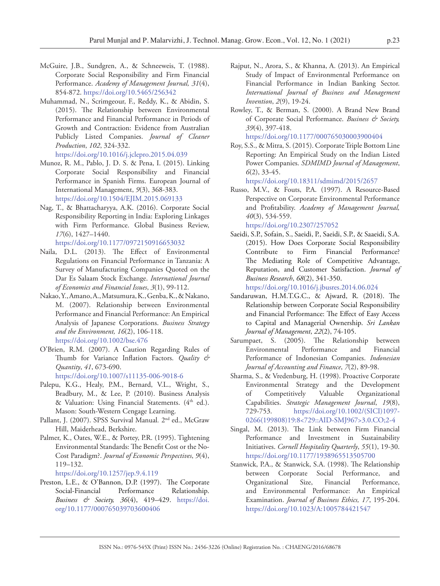- McGuire, J.B., Sundgren, A., & Schneeweis, T. (1988). Corporate Social Responsibility and Firm Financial Performance. *Academy of Management Journal, 31*(4), 854-872.<https://doi.org/10.5465/256342>
- Muhammad, N., Scrimgeour, F., Reddy, K., & Abidin, S. (2015). The Relationship between Environmental Performance and Financial Performance in Periods of Growth and Contraction: Evidence from Australian Publicly Listed Companies. *Journal of Cleaner Production*, *102*, 324-332. <https://doi.org/10.1016/j.jclepro.2015.04.039>
- Munoz, R. M., Pablo, J. D. S. & Pena, I. (2015). Linking Corporate Social Responsibility and Financial Performance in Spanish Firms. European Journal of International Management, *9*(3), 368-383. <https://doi.org/10.1504/EJIM.2015.069133>
- Nag, T., & Bhattacharyya, A.K. (2016). Corporate Social Responsibility Reporting in India: Exploring Linkages with Firm Performance. Global Business Review, *17*(6), 1427–1440. <https://doi.org/10.1177/0972150916653032>
- Naila, D.L. (2013). The Effect of Environmental Regulations on Financial Performance in Tanzania: A Survey of Manufacturing Companies Quoted on the Dar Es Salaam Stock Exchange. *International Journal of Economics and Financial Issues*, *3*(1), 99-112.
- Nakao, Y., Amano, A., Matsumura, K., Genba, K., & Nakano, M. (2007). Relationship between Environmental Performance and Financial Performance: An Empirical Analysis of Japanese Corporations. *Business Strategy and the Environment, 16*(2), 106-118. <https://doi.org/10.1002/bse.476>
- O'Brien, R.M. (2007). A Caution Regarding Rules of Thumb for Variance Inflation Factors. *Quality & Quantity*, *41*, 673-690. <https://doi.org/10.1007/s11135-006-9018-6>
- Palepu, K.G., Healy, P.M., Bernard, V.L., Wright, S., Bradbury, M., & Lee, P. (2010). Business Analysis & Valuation: Using Financial Statements. (4th ed.). Mason: South-Western Cengage Learning.
- Pallant, J. (2007). SPSS Survival Manual*.* 2nd ed., McGraw Hill, Maiderhead, Berkshire.
- Palmer, K., Oates, W.E., & Portey, P.R. (1995). Tightening Environmental Standards: The Benefit Cost or the No-Cost Paradigm?. *Journal of Economic Perspectives*, *9*(4), 119–132.

<https://doi.org/10.1257/jep.9.4.119>

Preston, L.E., & O'Bannon, D.P. (1997). The Corporate Social-Financial Performance Relationship. *Business & Society, 36*(4), 419–429. [https://doi.](https://doi.org/10.1177/000765039703600406) [org/10.1177/000765039703600406](https://doi.org/10.1177/000765039703600406)

- Rajput, N., Arora, S., & Khanna, A. (2013). An Empirical Study of Impact of Environmental Performance on Financial Performance in Indian Banking Sector. *International Journal of Business and Management Invention*, *2*(9), 19-24.
- Rowley, T., & Berman, S. (2000). A Brand New Brand of Corporate Social Performance. *Business & Society, 39*(4), 397-418.

<https://doi.org/10.1177/000765030003900404>

Roy, S.S., & Mitra, S. (2015). Corporate Triple Bottom Line Reporting: An Empirical Study on the Indian Listed Power Companies. *SDMIMD Journal of Management*, *6*(2), 33-45.

<https://doi.org/10.18311/sdmimd/2015/2657>

Russo, M.V., & Fouts, P.A. (1997). A Resource-Based Perspective on Corporate Environmental Performance and Profitability. *Academy of Management Journal, 40*(3), 534-559.

<https://doi.org/10.2307/257052>

Saeidi, S.P., Sofain, S., Saeidi, P., Saeidi, S.P., & Saaeidi, S.A. (2015). How Does Corporate Social Responsibility Contribute to Firm Financial Performance? The Mediating Role of Competitive Advantage, Reputation, and Customer Satisfaction. *Journal of Business Research*, *68*(2), 341-350.

<https://doi.org/10.1016/j.jbusres.2014.06.024>

- Sandaruwan, H.M.T.G.C., & Ajward, R. (2018). The Relationship between Corporate Social Responsibility and Financial Performance: The Effect of Easy Access to Capital and Managerial Ownership. *Sri Lankan Journal of Management*, *22*(2), 74-105.
- Sarumpaet, S. (2005). The Relationship between Environmental Performance and Financial Performance of Indonesian Companies. *Indonesian Journal of Accounting and Finance*, *7*(2), 89-98.
- Sharma, S., & Vredenburg, H. (1998). Proactive Corporate Environmental Strategy and the Development of Competitively Valuable Organizational Capabilities. *Strategic Management Journal*, *19*(8), 729-753. [https://doi.org/10.1002/\(SICI\)1097-](https://doi.org/10.1002/(SICI)1097-0266(199808)19:8%3C729::AID-SMJ967%3E3.0.CO;2-4) [0266\(199808\)19:8<729::AID-SMJ967>3.0.CO;2-4](https://doi.org/10.1002/(SICI)1097-0266(199808)19:8%3C729::AID-SMJ967%3E3.0.CO;2-4)
- Singal, M. (2013). The Link between Firm Financial Performance and Investment in Sustainability Initiatives. *Cornell Hospitality Quarterly*, *55*(1), 19-30. <https://doi.org/10.1177/1938965513505700>
- Stanwick, P.A., & Stanwick, S.A. (1998). The Relationship between Corporate Social Performance, and Organizational Size, Financial Performance, and Environmental Performance: An Empirical Examination. *Journal of Business Ethics, 17*, 195-204. <https://doi.org/10.1023/A:1005784421547>